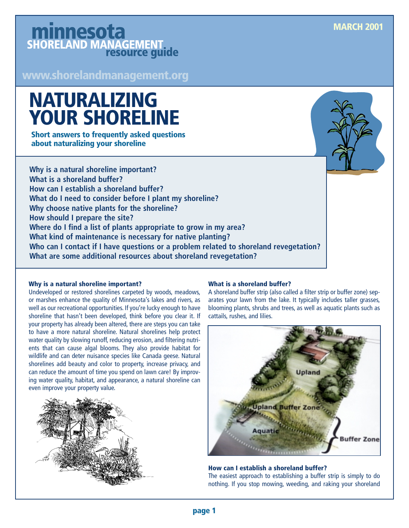## minnesota SHORELAND MANAGEMENT

**www.shorelandmanagement.org**

# **NATURALIZING YOUR SHORELINE**

**Short answers to frequently asked questions about naturalizing your shoreline**

**Why is a natural shoreline important? What is a shoreland buffer? How can I establish a shoreland buffer? What do I need to consider before I plant my shoreline? Why choose native plants for the shoreline? How should I prepare the site? Where do I find a list of plants appropriate to grow in my area? What kind of maintenance is necessary for native planting? Who can I contact if I have questions or a problem related to shoreland revegetation? What are some additional resources about shoreland revegetation?**

#### **Why is a natural shoreline important?**

Undeveloped or restored shorelines carpeted by woods, meadows, or marshes enhance the quality of Minnesota's lakes and rivers, as well as our recreational opportunities. If you're lucky enough to have shoreline that hasn't been developed, think before you clear it. If your property has already been altered, there are steps you can take to have a more natural shoreline. Natural shorelines help protect water quality by slowing runoff, reducing erosion, and filtering nutrients that can cause algal blooms. They also provide habitat for wildlife and can deter nuisance species like Canada geese. Natural shorelines add beauty and color to property, increase privacy, and can reduce the amount of time you spend on lawn care! By improving water quality, habitat, and appearance, a natural shoreline can even improve your property value.



#### **What is a shoreland buffer?**

A shoreland buffer strip (also called a filter strip or buffer zone) separates your lawn from the lake. It typically includes taller grasses, blooming plants, shrubs and trees, as well as aquatic plants such as cattails, rushes, and lilies.



**How can I establish a shoreland buffer?**

The easiest approach to establishing a buffer strip is simply to do nothing. If you stop mowing, weeding, and raking your shoreland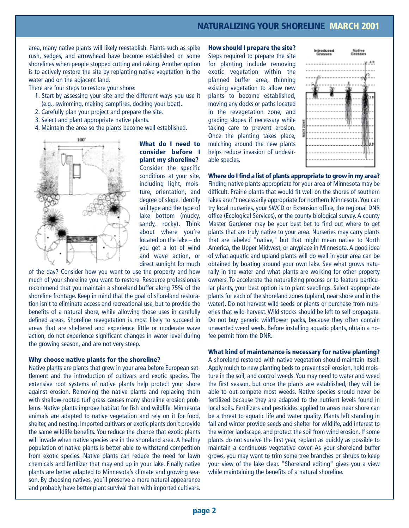area, many native plants will likely reestablish. Plants such as spike rush, sedges, and arrowhead have become established on some shorelines when people stopped cutting and raking. Another option is to actively restore the site by replanting native vegetation in the water and on the adjacent land.

There are four steps to restore your shore:

- 1. Start by assessing your site and the different ways you use it (e.g., swimming, making campfires, docking your boat).
- 2. Carefully plan your project and prepare the site.
- 3. Select and plant appropriate native plants.
- 4. Maintain the area so the plants become well established.



**What do I need to consider before I plant my shoreline?**  Consider the specific conditions at your site, including light, moisture, orientation, and degree of slope. Identify soil type and the type of lake bottom (mucky, sandy, rocky). Think about where you're located on the lake – do you get a lot of wind and wave action, or direct sunlight for much

of the day? Consider how you want to use the property and how much of your shoreline you want to restore. Resource professionals recommend that you maintain a shoreland buffer along 75% of the shoreline frontage. Keep in mind that the goal of shoreland restoration isn't to eliminate access and recreational use, but to provide the benefits of a natural shore, while allowing those uses in carefully defined areas. Shoreline revegetation is most likely to succeed in areas that are sheltered and experience little or moderate wave action, do not experience significant changes in water level during the growing season, and are not very steep.

#### **Why choose native plants for the shoreline?**

Native plants are plants that grew in your area before European settlement and the introduction of cultivars and exotic species. The extensive root systems of native plants help protect your shore against erosion. Removing the native plants and replacing them with shallow-rooted turf grass causes many shoreline erosion problems. Native plants improve habitat for fish and wildlife. Minnesota animals are adapted to native vegetation and rely on it for food, shelter, and nesting. Imported cultivars or exotic plants don't provide the same wildlife benefits. You reduce the chance that exotic plants will invade when native species are in the shoreland area. A healthy population of native plants is better able to withstand competition from exotic species. Native plants can reduce the need for lawn chemicals and fertilizer that may end up in your lake. Finally native plants are better adapted to Minnesota's climate and growing season. By choosing natives, you'll preserve a more natural appearance and probably have better plant survival than with imported cultivars.

**How should I prepare the site?** Steps required to prepare the site for planting include removing exotic vegetation within the planned buffer area, thinning existing vegetation to allow new plants to become established, moving any docks or paths located in the revegetation zone, and grading slopes if necessary while taking care to prevent erosion. Once the planting takes place, mulching around the new plants helps reduce invasion of undesirable species.



**Where do I find a list of plants appropriate to grow in my area?** Finding native plants appropriate for your area of Minnesota may be difficult. Prairie plants that would fit well on the shores of southern lakes aren't necessarily appropriate for northern Minnesota. You can try local nurseries, your SWCD or Extension office, the regional DNR office (Ecological Services), or the county biological survey. A county Master Gardener may be your best bet to find out where to get plants that are truly native to your area. Nurseries may carry plants that are labeled "native," but that might mean native to North America, the Upper Midwest, or anyplace in Minnesota. A good idea of what aquatic and upland plants will do well in your area can be obtained by boating around your own lake. See what grows naturally in the water and what plants are working for other property owners. To accelerate the naturalizing process or to feature particular plants, your best option is to plant seedlings. Select appropriate plants for each of the shoreland zones (upland, near shore and in the water). Do not harvest wild seeds or plants or purchase from nurseries that wild-harvest. Wild stocks should be left to self-propagate. Do not buy generic wildflower packs, because they often contain unwanted weed seeds. Before installing aquatic plants, obtain a nofee permit from the DNR.

#### **What kind of maintenance is necessary for native planting?**

A shoreland restored with native vegetation should maintain itself. Apply mulch to new planting beds to prevent soil erosion, hold moisture in the soil, and control weeds. You may need to water and weed the first season, but once the plants are established, they will be able to out-compete most weeds. Native species should never be fertilized because they are adapted to the nutrient levels found in local soils. Fertilizers and pesticides applied to areas near shore can be a threat to aquatic life and water quality. Plants left standing in fall and winter provide seeds and shelter for wildlife, add interest to the winter landscape, and protect the soil from wind erosion. If some plants do not survive the first year, replant as quickly as possible to maintain a continuous vegetative cover. As your shoreland buffer grows, you may want to trim some tree branches or shrubs to keep your view of the lake clear. "Shoreland editing" gives you a view while maintaining the benefits of a natural shoreline.